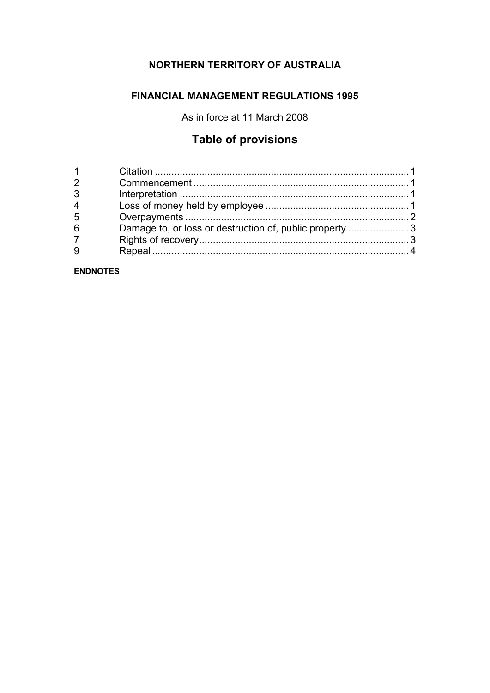### **NORTHERN TERRITORY OF AUSTRALIA**

#### **FINANCIAL MANAGEMENT REGULATIONS 1995**

As in force at 11 March 2008

## **Table of provisions**

| 3 |                                                         |  |
|---|---------------------------------------------------------|--|
| 4 |                                                         |  |
| 5 |                                                         |  |
| 6 | Damage to, or loss or destruction of, public property 3 |  |
|   |                                                         |  |
|   |                                                         |  |
|   |                                                         |  |

**ENDNOTES**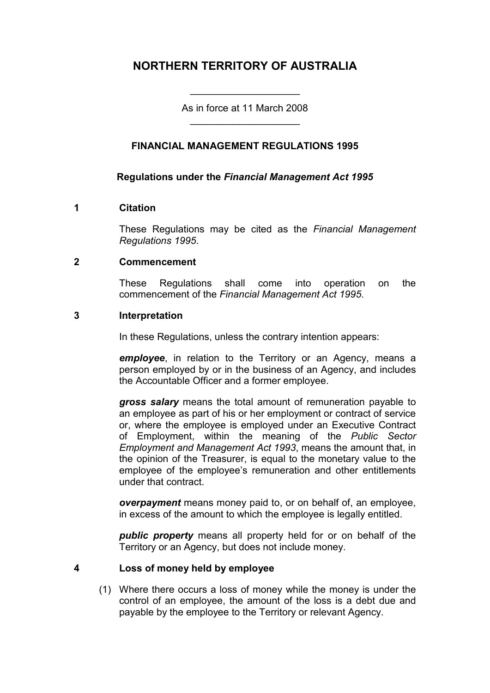### **NORTHERN TERRITORY OF AUSTRALIA**

As in force at 11 March 2008 \_\_\_\_\_\_\_\_\_\_\_\_\_\_\_\_\_\_\_\_

\_\_\_\_\_\_\_\_\_\_\_\_\_\_\_\_\_\_\_\_

#### **FINANCIAL MANAGEMENT REGULATIONS 1995**

#### **Regulations under the** *Financial Management Act 1995*

#### **1 Citation**

These Regulations may be cited as the *Financial Management Regulations 1995*.

#### **2 Commencement**

These Regulations shall come into operation on the commencement of the *Financial Management Act 1995*.

#### **3 Interpretation**

In these Regulations, unless the contrary intention appears:

*employee*, in relation to the Territory or an Agency, means a person employed by or in the business of an Agency, and includes the Accountable Officer and a former employee.

*gross salary* means the total amount of remuneration payable to an employee as part of his or her employment or contract of service or, where the employee is employed under an Executive Contract of Employment, within the meaning of the *Public Sector Employment and Management Act 1993*, means the amount that, in the opinion of the Treasurer, is equal to the monetary value to the employee of the employee's remuneration and other entitlements under that contract.

*overpayment* means money paid to, or on behalf of, an employee, in excess of the amount to which the employee is legally entitled.

*public property* means all property held for or on behalf of the Territory or an Agency, but does not include money.

#### **4 Loss of money held by employee**

(1) Where there occurs a loss of money while the money is under the control of an employee, the amount of the loss is a debt due and payable by the employee to the Territory or relevant Agency.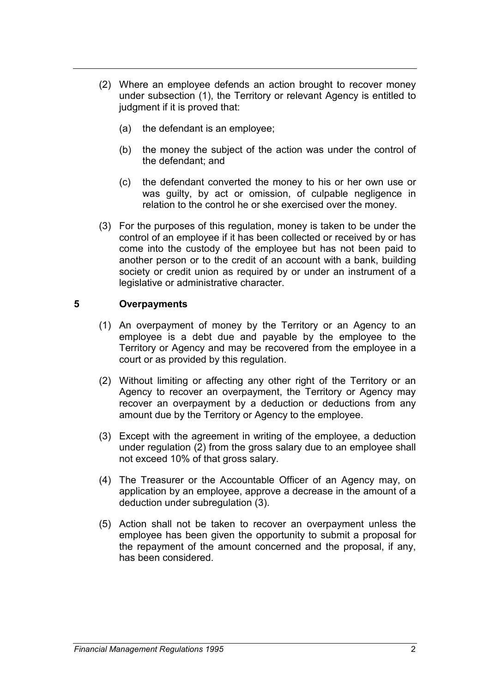- (2) Where an employee defends an action brought to recover money under subsection (1), the Territory or relevant Agency is entitled to judgment if it is proved that:
	- (a) the defendant is an employee;
	- (b) the money the subject of the action was under the control of the defendant; and
	- (c) the defendant converted the money to his or her own use or was guilty, by act or omission, of culpable negligence in relation to the control he or she exercised over the money.
- (3) For the purposes of this regulation, money is taken to be under the control of an employee if it has been collected or received by or has come into the custody of the employee but has not been paid to another person or to the credit of an account with a bank, building society or credit union as required by or under an instrument of a legislative or administrative character.

#### **5 Overpayments**

- (1) An overpayment of money by the Territory or an Agency to an employee is a debt due and payable by the employee to the Territory or Agency and may be recovered from the employee in a court or as provided by this regulation.
- (2) Without limiting or affecting any other right of the Territory or an Agency to recover an overpayment, the Territory or Agency may recover an overpayment by a deduction or deductions from any amount due by the Territory or Agency to the employee.
- (3) Except with the agreement in writing of the employee, a deduction under regulation (2) from the gross salary due to an employee shall not exceed 10% of that gross salary.
- (4) The Treasurer or the Accountable Officer of an Agency may, on application by an employee, approve a decrease in the amount of a deduction under subregulation (3).
- (5) Action shall not be taken to recover an overpayment unless the employee has been given the opportunity to submit a proposal for the repayment of the amount concerned and the proposal, if any, has been considered.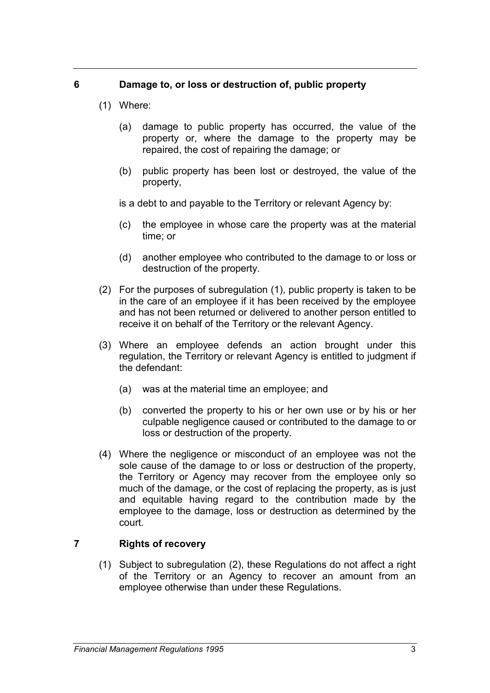#### **6 Damage to, or loss or destruction of, public property**

- (1) Where:
	- (a) damage to public property has occurred, the value of the property or, where the damage to the property may be repaired, the cost of repairing the damage; or
	- (b) public property has been lost or destroyed, the value of the property,

is a debt to and payable to the Territory or relevant Agency by:

- (c) the employee in whose care the property was at the material time; or
- (d) another employee who contributed to the damage to or loss or destruction of the property.
- (2) For the purposes of subregulation (1), public property is taken to be in the care of an employee if it has been received by the employee and has not been returned or delivered to another person entitled to receive it on behalf of the Territory or the relevant Agency.
- (3) Where an employee defends an action brought under this regulation, the Territory or relevant Agency is entitled to judgment if the defendant:
	- (a) was at the material time an employee; and
	- (b) converted the property to his or her own use or by his or her culpable negligence caused or contributed to the damage to or loss or destruction of the property.
- (4) Where the negligence or misconduct of an employee was not the sole cause of the damage to or loss or destruction of the property, the Territory or Agency may recover from the employee only so much of the damage, or the cost of replacing the property, as is just and equitable having regard to the contribution made by the employee to the damage, loss or destruction as determined by the court.

#### **7 Rights of recovery**

(1) Subject to subregulation (2), these Regulations do not affect a right of the Territory or an Agency to recover an amount from an employee otherwise than under these Regulations.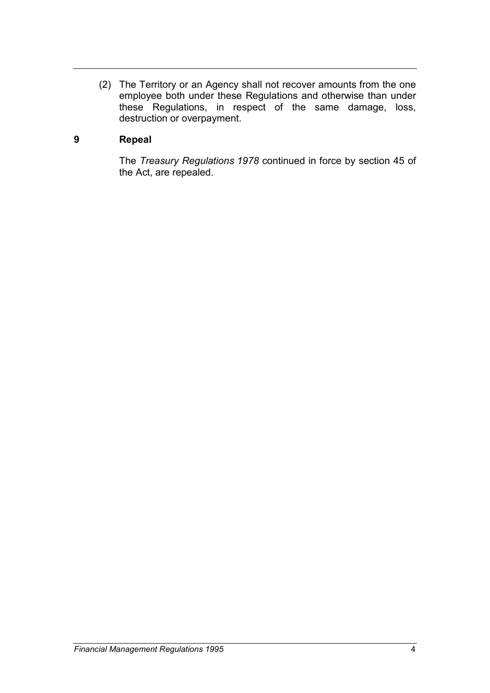(2) The Territory or an Agency shall not recover amounts from the one employee both under these Regulations and otherwise than under these Regulations, in respect of the same damage, loss, destruction or overpayment.

#### **9 Repeal**

The *Treasury Regulations 1978* continued in force by section 45 of the Act, are repealed.